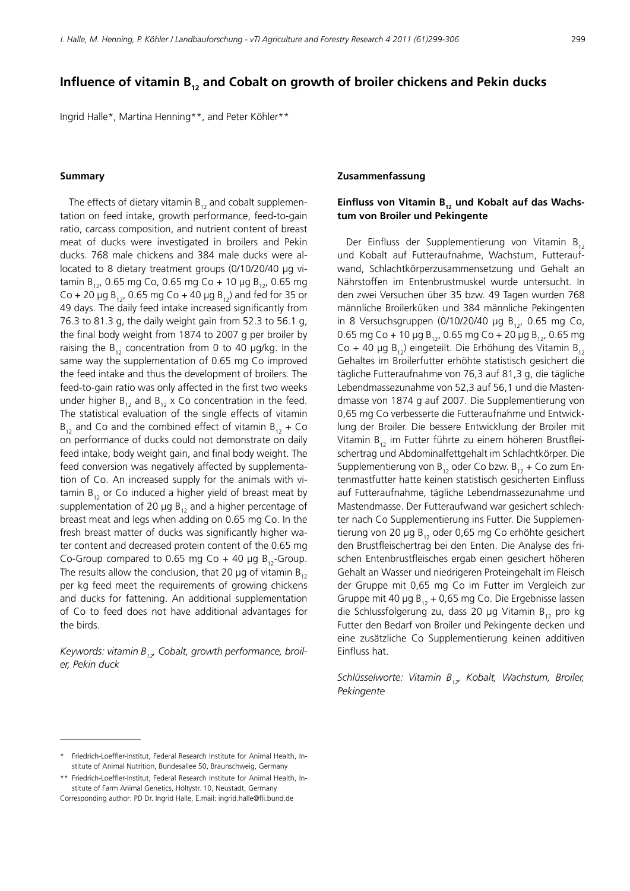# Influence of vitamin B<sub>12</sub> and Cobalt on growth of broiler chickens and Pekin ducks

Ingrid Halle\*, Martina Henning\*\*, and Peter Köhler\*\*

#### **Summary**

The effects of dietary vitamin  $B_{12}$  and cobalt supplementation on feed intake, growth performance, feed-to-gain ratio, carcass composition, and nutrient content of breast meat of ducks were investigated in broilers and Pekin ducks. 768 male chickens and 384 male ducks were allocated to 8 dietary treatment groups (0/10/20/40 μg vitamin  $B_{12}$ , 0.65 mg Co, 0.65 mg Co + 10 µg  $B_{12}$ , 0.65 mg Co + 20  $\mu$ g B<sub>12</sub>, 0.65 mg Co + 40  $\mu$ g B<sub>12</sub>) and fed for 35 or 49 days. The daily feed intake increased significantly from 76.3 to 81.3 g, the daily weight gain from 52.3 to 56.1 g, the final body weight from 1874 to 2007 g per broiler by raising the  $B_{12}$  concentration from 0 to 40 µg/kg. In the same way the supplementation of 0.65 mg Co improved the feed intake and thus the development of broilers. The feed-to-gain ratio was only affected in the first two weeks under higher  $B_{12}$  and  $B_{12}$  x Co concentration in the feed. The statistical evaluation of the single effects of vitamin  $B_{12}$  and Co and the combined effect of vitamin  $B_{12}$  + Co on performance of ducks could not demonstrate on daily feed intake, body weight gain, and final body weight. The feed conversion was negatively affected by supplementation of Co. An increased supply for the animals with vitamin  $B_{12}$  or Co induced a higher yield of breast meat by supplementation of 20 µg  $B_{12}$  and a higher percentage of breast meat and legs when adding on 0.65 mg Co. In the fresh breast matter of ducks was significantly higher water content and decreased protein content of the 0.65 mg Co-Group compared to 0.65 mg Co + 40 µg  $B_{12}$ -Group. The results allow the conclusion, that 20  $\mu$ g of vitamin B<sub>12</sub> per kg feed meet the requirements of growing chickens and ducks for fattening. An additional supplementation of Co to feed does not have additional advantages for the birds.

Keywords: vitamin B<sub>12</sub>, Cobalt, growth performance, broil*er, Pekin duck*

## **Zusammenfassung**

# Einfluss von Vitamin B<sub>12</sub> und Kobalt auf das Wachs**tum von Broiler und Pekingente**

Der Einfluss der Supplementierung von Vitamin B<sub>12</sub> und Kobalt auf Futteraufnahme, Wachstum, Futteraufwand, Schlachtkörperzusammensetzung und Gehalt an Nährstoffen im Entenbrustmuskel wurde untersucht. In den zwei Versuchen über 35 bzw. 49 Tagen wurden 768 männliche Broilerküken und 384 männliche Pekingenten in 8 Versuchsgruppen (0/10/20/40 μg  $B_{12}$ , 0.65 mg Co, 0.65 mg Co + 10 μg B<sub>12</sub>, 0.65 mg Co + 20 μg B<sub>12</sub>, 0.65 mg Co + 40 μg  $B_{12}$ ) eingeteilt. Die Erhöhung des Vitamin  $B_{12}$ Gehaltes im Broilerfutter erhöhte statistisch gesichert die tägliche Futteraufnahme von 76,3 auf 81,3 g, die tägliche Lebendmassezunahme von 52,3 auf 56,1 und die Mastendmasse von 1874 g auf 2007. Die Supplementierung von 0,65 mg Co verbesserte die Futteraufnahme und Entwicklung der Broiler. Die bessere Entwicklung der Broiler mit Vitamin  $B_{12}$  im Futter führte zu einem höheren Brustfleischertrag und Abdominalfettgehalt im Schlachtkörper. Die Supplementierung von B<sub>12</sub> oder Co bzw. B<sub>12</sub> + Co zum Entenmastfutter hatte keinen statistisch gesicherten Einfluss auf Futteraufnahme, tägliche Lebendmassezunahme und Mastendmasse. Der Futteraufwand war gesichert schlechter nach Co Supplementierung ins Futter. Die Supplementierung von 20 μg  $B_{12}$  oder 0,65 mg Co erhöhte gesichert den Brustfleischertrag bei den Enten. Die Analyse des frischen Entenbrustfleisches ergab einen gesichert höheren Gehalt an Wasser und niedrigeren Proteingehalt im Fleisch der Gruppe mit 0,65 mg Co im Futter im Vergleich zur Gruppe mit 40 μg  $B_{12}$  + 0,65 mg Co. Die Ergebnisse lassen die Schlussfolgerung zu, dass 20 μg Vitamin B<sub>12</sub> pro kg Futter den Bedarf von Broiler und Pekingente decken und eine zusätzliche Co Supplementierung keinen additiven Einfluss hat.

*Schlüsselworte: Vitamin B12, Kobalt, Wachstum, Broiler, Pekingente*

<sup>\*</sup> Friedrich-Loeffler-Institut, Federal Research Institute for Animal Health, Institute of Animal Nutrition, Bundesallee 50, Braunschweig, Germany

Friedrich-Loeffler-Institut, Federal Research Institute for Animal Health, Institute of Farm Animal Genetics, Höltystr. 10, Neustadt, Germany Corresponding author: PD Dr. Ingrid Halle, E.mail: [ingrid.halle@fli.bund.de](mailto:ingrid.halle@fli.bund.de)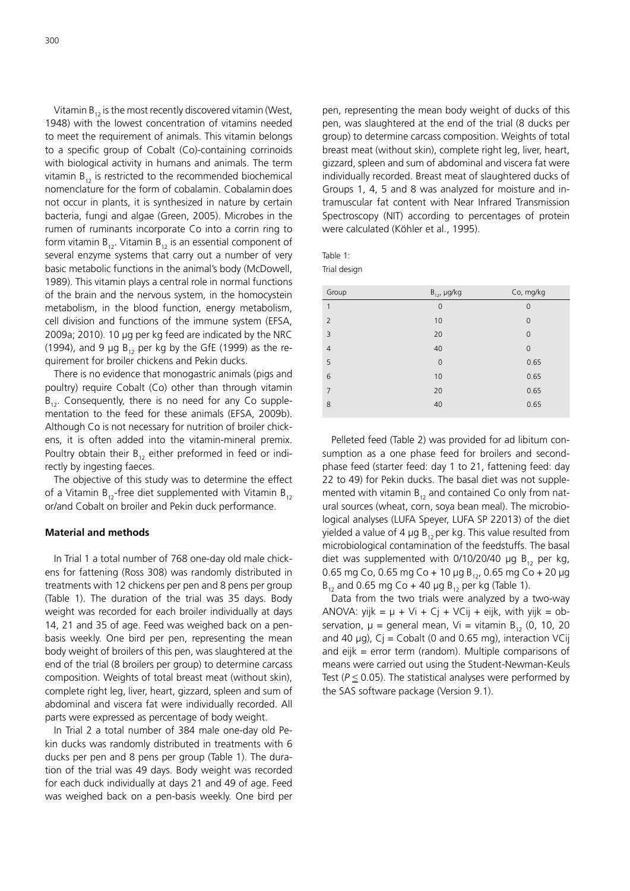300

Vitamin  $B_{12}$  is the most recently discovered vitamin (West, 1948) with the lowest concentration of vitamins needed to meet the requirement of animals. This vitamin belongs to a specific group of Cobalt (Co)-containing corrinoids with biological activity in humans and animals. The term vitamin  $B_{12}$  is restricted to the recommended biochemical nomenclature for the form of cobalamin. Cobalamin does not occur in plants, it is synthesized in nature by certain bacteria, fungi and algae (Green, 2005). Microbes in the rumen of ruminants incorporate Co into a corrin ring to form vitamin  $B_{12}$ . Vitamin  $B_{12}$  is an essential component of several enzyme systems that carry out a number of very basic metabolic functions in the animal's body (McDowell, 1989). This vitamin plays a central role in normal functions of the brain and the nervous system, in the homocystein metabolism, in the blood function, energy metabolism, cell division and functions of the immune system (EFSA, 2009a; 2010). 10  $\mu$ g per kg feed are indicated by the NRC (1994), and 9  $\mu$ g B<sub>12</sub> per kg by the GfE (1999) as the requirement for broiler chickens and Pekin ducks.

There is no evidence that monogastric animals (pigs and poultry) require Cobalt (Co) other than through vitamin  $B_{12}$ . Consequently, there is no need for any Co supplementation to the feed for these animals (EFSA, 2009b). Although Co is not necessary for nutrition of broiler chickens, it is often added into the vitamin-mineral premix. Poultry obtain their  $B_{12}$  either preformed in feed or indirectly by ingesting faeces.

The objective of this study was to determine the effect of a Vitamin  $B_{12}$ -free diet supplemented with Vitamin  $B_{12}$ or/and Cobalt on broiler and Pekin duck performance.

## **Material and methods**

In Trial 1 a total number of 768 one-day old male chickens for fattening (Ross 308) was randomly distributed in treatments with 12 chickens per pen and 8 pens per group (Table 1). The duration of the trial was 35 days. Body weight was recorded for each broiler individually at days 14, 21 and 35 of age. Feed was weighed back on a penbasis weekly. One bird per pen, representing the mean body weight of broilers of this pen, was slaughtered at the end of the trial (8 broilers per group) to determine carcass composition. Weights of total breast meat (without skin), complete right leg, liver, heart, gizzard, spleen and sum of abdominal and viscera fat were individually recorded. All parts were expressed as percentage of body weight.

In Trial 2 a total number of 384 male one-day old Pekin ducks was randomly distributed in treatments with 6 ducks per pen and 8 pens per group (Table 1). The duration of the trial was 49 days. Body weight was recorded for each duck individually at days 21 and 49 of age. Feed was weighed back on a pen-basis weekly. One bird per

pen, representing the mean body weight of ducks of this pen, was slaughtered at the end of the trial (8 ducks per group) to determine carcass composition. Weights of total breast meat (without skin), complete right leg, liver, heart, gizzard, spleen and sum of abdominal and viscera fat were individually recorded. Breast meat of slaughtered ducks of Groups 1, 4, 5 and 8 was analyzed for moisture and intramuscular fat content with Near Infrared Transmission Spectroscopy (NIT) according to percentages of protein were calculated (Köhler et al., 1995).

| ٠<br>×<br>۰.<br>× |
|-------------------|
|-------------------|

Trial design

| Group          | $B_{12}$ , µg/kg | Co, mg/kg      |
|----------------|------------------|----------------|
| $\mathbf{1}$   | $\mathbf 0$      | $\mathbf 0$    |
| $\overline{2}$ | 10               | $\overline{0}$ |
| $\overline{3}$ | 20               | $\overline{0}$ |
| $\overline{4}$ | 40               | $\overline{0}$ |
| 5              | $\mathbf 0$      | 0.65           |
| 6              | 10               | 0.65           |
| $\overline{7}$ | 20               | 0.65           |
| 8              | 40               | 0.65           |
|                |                  |                |

Pelleted feed (Table 2) was provided for ad libitum consumption as a one phase feed for broilers and secondphase feed (starter feed: day 1 to 21, fattening feed: day 22 to 49) for Pekin ducks. The basal diet was not supplemented with vitamin  $B_{12}$  and contained Co only from natural sources (wheat, corn, soya bean meal). The microbiological analyses (LUFA Speyer, LUFA SP 22013) of the diet yielded a value of 4  $\mu$ g B<sub>12</sub> per kg. This value resulted from microbiological contamination of the feedstuffs. The basal diet was supplemented with  $0/10/20/40$  µg B<sub>12</sub> per kg, 0.65 mg Co, 0.65 mg Co + 10 μg B<sub>12</sub>, 0.65 mg Co + 20 μg  $B_{12}$  and 0.65 mg Co + 40 µg  $B_{12}$  per kg (Table 1).

Data from the two trials were analyzed by a two-way ANOVA: yijk =  $\mu$  + Vi + Cj + VCij + eijk, with yijk = observation,  $\mu$  = general mean, Vi = vitamin B<sub>12</sub> (0, 10, 20 and 40  $\mu$ g), C $i =$  Cobalt (0 and 0.65 mg), interaction VCij and  $eijk = error term (random)$ . Multiple comparisons of means were carried out using the Student-Newman-Keuls Test  $(P \le 0.05)$ . The statistical analyses were performed by the SAS software package (Version 9.1).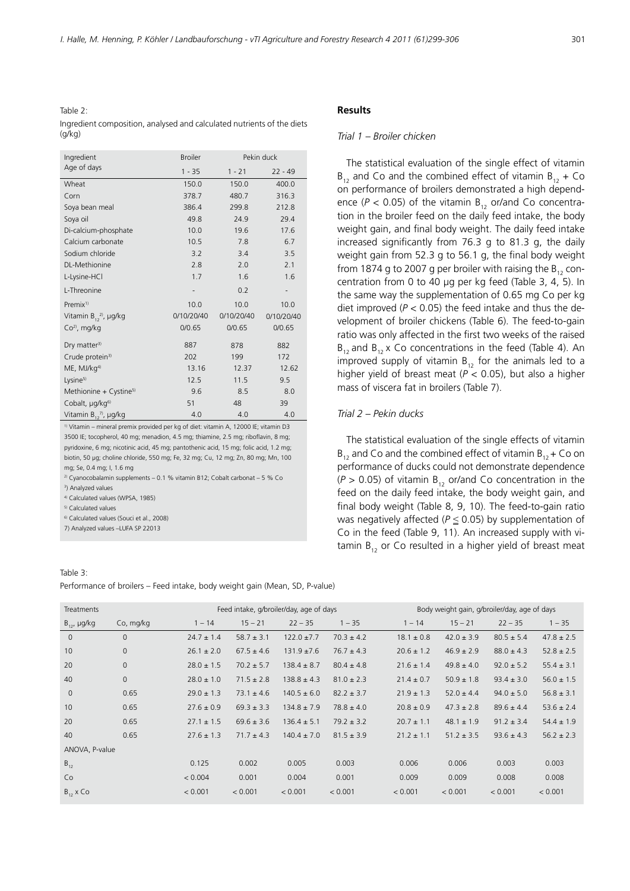Table 2: Ingredient composition, analysed and calculated nutrients of the diets (g/kg)

| Ingredient                         | <b>Broiler</b> | Pekin duck |            |  |
|------------------------------------|----------------|------------|------------|--|
| Age of days                        | $1 - 35$       | $1 - 21$   | $22 - 49$  |  |
| Wheat                              | 150.0          | 150.0      | 400.0      |  |
| Corn                               | 378.7          | 480.7      | 316.3      |  |
| Soya bean meal                     | 386.4          | 299.8      | 212.8      |  |
| Soya oil                           | 49.8           | 24.9       | 29.4       |  |
| Di-calcium-phosphate               | 10.0           | 19.6       | 17.6       |  |
| Calcium carbonate                  | 10.5           | 7.8        | 6.7        |  |
| Sodium chloride                    | 3.2            | 3.4        | 3.5        |  |
| <b>DL-Methionine</b>               | 2.8            | 2.0        | 2.1        |  |
| L-Lysine-HCl                       | 1.7            | 1.6        | 1.6        |  |
| L-Threonine                        |                | 0.2        |            |  |
| Premix <sup>1)</sup>               | 10.0           | 10.0       | 10.0       |  |
| Vitamin $B_{12}^{\ 2)}$ , µg/kg    | 0/10/20/40     | 0/10/20/40 | 0/10/20/40 |  |
| $Co2$ , mg/kg                      | 0/0.65         | 0/0.65     | 0/0.65     |  |
| Dry matter <sup>3)</sup>           | 887            | 878        | 882        |  |
| Crude protein <sup>3)</sup>        | 202            | 199        | 172        |  |
| $ME$ , MJ/ $kg4$                   | 13.16          | 12.37      | 12.62      |  |
| Lysine <sup>5)</sup>               | 12.5           | 11.5       | 9.5        |  |
| Methionine + Cystine <sup>5)</sup> | 9.6            | 8.5        | 8.0        |  |
| Cobalt, µg/kg <sup>6)</sup>        | 51             | 48         | 39         |  |
| Vitamin $B_{12}^{\ 7)}$ , µg/kg    | 4.0            | 4.0        | 4.0        |  |

<sup>1)</sup> Vitamin – mineral premix provided per kg of diet: vitamin A, 12000 IE; vitamin D3 3500 IE; tocopherol, 40 mg; menadion, 4.5 mg; thiamine, 2.5 mg; riboflavin, 8 mg; pyridoxine, 6 mg; nicotinic acid, 45 mg; pantothenic acid, 15 mg; folic acid, 1.2 mg; biotin, 50 μg; choline chloride, 550 mg; Fe, 32 mg; Cu, 12 mg; Zn, 80 mg; Mn, 100 mg; Se, 0.4 mg; I, 1.6 mg

<sup>2)</sup> Cyanocobalamin supplements  $-$  0.1 % vitamin B12; Cobalt carbonat  $-$  5 % Co

<sup>3</sup>) Analyzed values

<sup>4)</sup> Calculated values (WPSA, 1985)

<sup>5)</sup> Calculated values

6) Calculated values (Souci et al., 2008) 

7) Analyzed values -LUFA SP 22013

#### Table 3:

 $AN$ 

# **Results**

#### *Trial 1 – Broiler chicken*

The statistical evaluation of the single effect of vitamin  $B_{12}$  and Co and the combined effect of vitamin  $B_{12}$  + Co on performance of broilers demonstrated a high dependence ( $P$  < 0.05) of the vitamin  $B_{12}$  or/and Co concentration in the broiler feed on the daily feed intake, the body weight gain, and final body weight. The daily feed intake increased significantly from  $76.3$  g to  $81.3$  g, the daily weight gain from 52.3 g to 56.1 g, the final body weight from 1874 g to 2007 g per broiler with raising the  $B_{12}$  concentration from 0 to 40  $\mu$ g per kg feed (Table 3, 4, 5). In the same way the supplementation of 0.65 mg Co per kg diet improved  $(P < 0.05)$  the feed intake and thus the development of broiler chickens (Table 6). The feed-to-gain ratio was only affected in the first two weeks of the raised  $B_{12}$  and  $B_{12}$  x Co concentrations in the feed (Table 4). An improved supply of vitamin  $B_{12}$  for the animals led to a higher yield of breast meat  $(P < 0.05)$ , but also a higher mass of viscera fat in broilers (Table 7).

# *Trial 2 – Pekin ducks*

The statistical evaluation of the single effects of vitamin  $B_{12}$  and Co and the combined effect of vitamin  $B_{12}$  + Co on performance of ducks could not demonstrate dependence  $(P > 0.05)$  of vitamin B<sub>12</sub> or/and Co concentration in the feed on the daily feed intake, the body weight gain, and final body weight (Table 8, 9, 10). The feed-to-gain ratio was negatively affected ( $P \le 0.05$ ) by supplementation of Co in the feed (Table 9, 11). An increased supply with vitamin  $B_{12}$  or Co resulted in a higher yield of breast meat

| uwic J.<br>erformance of broilers – Feed intake, body weight gain (Mean, SD, P-value) |              |                |                |                                         |                |                |                |                                              |                |
|---------------------------------------------------------------------------------------|--------------|----------------|----------------|-----------------------------------------|----------------|----------------|----------------|----------------------------------------------|----------------|
|                                                                                       |              |                |                |                                         |                |                |                |                                              |                |
| <b>Treatments</b>                                                                     |              |                |                | Feed intake, g/broiler/day, age of days |                |                |                | Body weight gain, g/broiler/day, age of days |                |
| B <sub>12</sub> , µg/kg                                                               | Co, mg/kg    | $1 - 14$       | $15 - 21$      | $22 - 35$                               | $1 - 35$       | $1 - 14$       | $15 - 21$      | $22 - 35$                                    | $1 - 35$       |
| $\mathbf{0}$                                                                          | $\Omega$     | $24.7 \pm 1.4$ | $58.7 \pm 3.1$ | $122.0 \pm 7.7$                         | $70.3 \pm 4.2$ | $18.1 \pm 0.8$ | $42.0 \pm 3.9$ | $80.5 \pm 5.4$                               | $47.8 \pm 2.5$ |
| 10                                                                                    | $\mathbf{0}$ | $26.1 \pm 2.0$ | $67.5 \pm 4.6$ | $131.9 \pm 7.6$                         | $76.7 \pm 4.3$ | $20.6 \pm 1.2$ | $46.9 \pm 2.9$ | $88.0 \pm 4.3$                               | $52.8 \pm 2.5$ |
| 20                                                                                    | $\mathbf{0}$ | $28.0 \pm 1.5$ | $70.2 \pm 5.7$ | $138.4 \pm 8.7$                         | $80.4 \pm 4.8$ | $21.6 \pm 1.4$ | $49.8 \pm 4.0$ | $92.0 \pm 5.2$                               | $55.4 \pm 3.1$ |
| 40                                                                                    | $\mathbf{0}$ | $28.0 \pm 1.0$ | $71.5 \pm 2.8$ | $138.8 \pm 4.3$                         | $81.0 \pm 2.3$ | $21.4 \pm 0.7$ | $50.9 \pm 1.8$ | $93.4 \pm 3.0$                               | $56.0 \pm 1.5$ |
| $\mathbf{0}$                                                                          | 0.65         | $29.0 \pm 1.3$ | $73.1 \pm 4.6$ | $140.5 \pm 6.0$                         | $82.2 \pm 3.7$ | $21.9 \pm 1.3$ | $52.0 \pm 4.4$ | $94.0 \pm 5.0$                               | $56.8 \pm 3.1$ |
| 10                                                                                    | 0.65         | $27.6 \pm 0.9$ | $69.3 \pm 3.3$ | $134.8 \pm 7.9$                         | $78.8 \pm 4.0$ | $20.8 \pm 0.9$ | $47.3 \pm 2.8$ | $89.6 \pm 4.4$                               | $53.6 \pm 2.4$ |
| 20                                                                                    | 0.65         | $27.1 \pm 1.5$ | $69.6 \pm 3.6$ | $136.4 \pm 5.1$                         | $79.2 \pm 3.2$ | $20.7 \pm 1.1$ | $48.1 \pm 1.9$ | $91.2 \pm 3.4$                               | $54.4 \pm 1.9$ |
| 40                                                                                    | 0.65         | $27.6 \pm 1.3$ | $71.7 \pm 4.3$ | $140.4 \pm 7.0$                         | $81.5 \pm 3.9$ | $21.2 \pm 1.1$ | $51.2 \pm 3.5$ | $93.6 \pm 4.3$                               | $56.2 \pm 2.3$ |
| ANOVA, P-value                                                                        |              |                |                |                                         |                |                |                |                                              |                |
| $B_{12}$                                                                              |              | 0.125          | 0.002          | 0.005                                   | 0.003          | 0.006          | 0.006          | 0.003                                        | 0.003          |
| Co                                                                                    |              | < 0.004        | 0.001          | 0.004                                   | 0.001          | 0.009          | 0.009          | 0.008                                        | 0.008          |
| $B_{12}$ x Co                                                                         |              | < 0.001        | < 0.001        | < 0.001                                 | < 0.001        | < 0.001        | < 0.001        | < 0.001                                      | < 0.001        |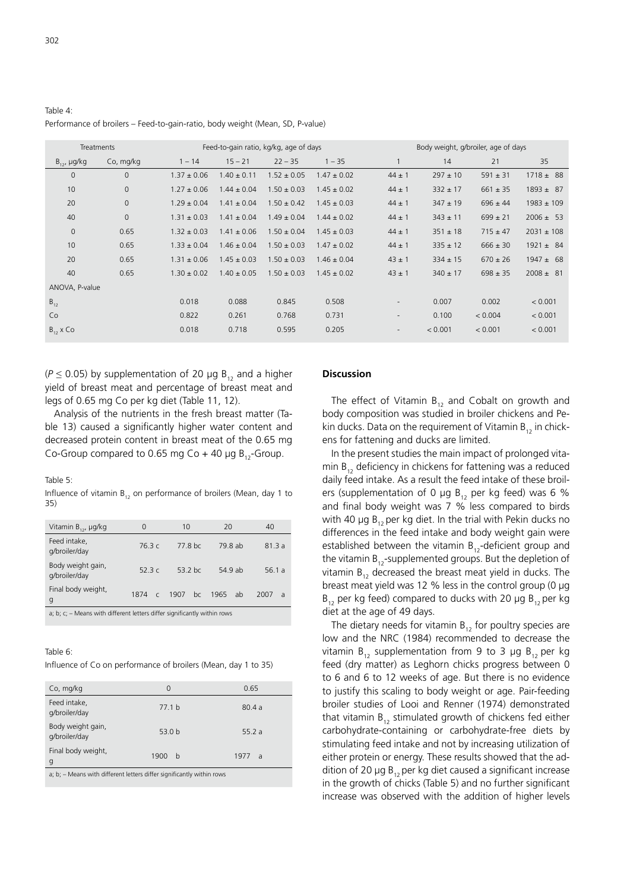Table 4:

| Performance of broilers – Feed-to-gain-ratio, body weight (Mean, SD, P-value) |                                        |  |  |  |  |
|-------------------------------------------------------------------------------|----------------------------------------|--|--|--|--|
| Treatments                                                                    | Feed-to-gain ratio, kg/kg, age of days |  |  |  |  |

| Treatments            |              |                 |                 | Feed-to-gain ratio, kg/kg, age of days | Body weight, g/broiler, age of days |                          |              |              |                |
|-----------------------|--------------|-----------------|-----------------|----------------------------------------|-------------------------------------|--------------------------|--------------|--------------|----------------|
| $B_{12}$ , $\mu g/kg$ | Co, mg/kg    | $1 - 14$        | $15 - 21$       | $22 - 35$                              | $1 - 35$                            |                          | 14           | 21           | 35             |
| $\mathbf{0}$          | $\mathbf{0}$ | $1.37 \pm 0.06$ | $1.40 \pm 0.11$ | $1.52 \pm 0.05$                        | $1.47 \pm 0.02$                     | $44 \pm 1$               | $297 \pm 10$ | $591 \pm 31$ | $1718 \pm 88$  |
| 10                    | $\mathbf{0}$ | $1.27 \pm 0.06$ | $1.44 \pm 0.04$ | $1.50 \pm 0.03$                        | $1.45 \pm 0.02$                     | $44 \pm 1$               | $332 \pm 17$ | $661 \pm 35$ | $1893 \pm 87$  |
| 20                    | $\mathbf 0$  | $1.29 \pm 0.04$ | $1.41 \pm 0.04$ | $1.50 \pm 0.42$                        | $1.45 \pm 0.03$                     | $44 \pm 1$               | $347 \pm 19$ | $696 \pm 44$ | $1983 \pm 109$ |
| 40                    | $\mathbf{0}$ | $1.31 \pm 0.03$ | $1.41 \pm 0.04$ | $1.49 \pm 0.04$                        | $1.44 \pm 0.02$                     | $44 \pm 1$               | $343 \pm 11$ | $699 \pm 21$ | $2006 \pm 53$  |
| $\mathbf 0$           | 0.65         | $1.32 \pm 0.03$ | $1.41 \pm 0.06$ | $1.50 \pm 0.04$                        | $1.45 \pm 0.03$                     | $44 \pm 1$               | $351 \pm 18$ | $715 \pm 47$ | $2031 \pm 108$ |
| 10                    | 0.65         | $1.33 \pm 0.04$ | $1.46 \pm 0.04$ | $1.50 \pm 0.03$                        | $1.47 \pm 0.02$                     | $44 \pm 1$               | $335 \pm 12$ | $666 \pm 30$ | $1921 \pm 84$  |
| 20                    | 0.65         | $1.31 \pm 0.06$ | $1.45 \pm 0.03$ | $1.50 \pm 0.03$                        | $1.46 \pm 0.04$                     | $43 \pm 1$               | $334 \pm 15$ | $670 \pm 26$ | $1947 \pm 68$  |
| 40                    | 0.65         | $1.30 \pm 0.02$ | $1.40 \pm 0.05$ | $1.50 \pm 0.03$                        | $1.45 \pm 0.02$                     | $43 \pm 1$               | $340 \pm 17$ | $698 \pm 35$ | $2008 \pm 81$  |
| ANOVA, P-value        |              |                 |                 |                                        |                                     |                          |              |              |                |
| $B_{12}$              |              | 0.018           | 0.088           | 0.845                                  | 0.508                               | $\overline{\phantom{a}}$ | 0.007        | 0.002        | < 0.001        |
| Co                    |              | 0.822           | 0.261           | 0.768                                  | 0.731                               | $\overline{\phantom{a}}$ | 0.100        | < 0.004      | < 0.001        |
| $B_{12}$ x Co         |              | 0.018           | 0.718           | 0.595                                  | 0.205                               | $\overline{\phantom{a}}$ | < 0.001      | < 0.001      | < 0.001        |
|                       |              |                 |                 |                                        |                                     |                          |              |              |                |

( $P \le 0.05$ ) by supplementation of 20 µg B<sub>12</sub> and a higher yield of breast meat and percentage of breast meat and legs of 0.65 mg Co per kg diet (Table 11, 12).

Analysis of the nutrients in the fresh breast matter (Table 13) caused a significantly higher water content and decreased protein content in breast meat of the 0.65 mg Co-Group compared to 0.65 mg Co + 40 µg  $B_{12}$ -Group.

#### Table 5:

Influence of vitamin  $B_{12}$  on performance of broilers (Mean, day 1 to 35)

| Vitamin $B_{12}$ , µg/kg                                                    | 0                  | 10         | 20         | 40                     |  |  |  |
|-----------------------------------------------------------------------------|--------------------|------------|------------|------------------------|--|--|--|
| Feed intake,<br>g/broiler/day                                               | 76.3c              | 77.8 bc    | 79.8 ab    | 81.3a                  |  |  |  |
| Body weight gain,<br>g/broiler/day                                          | 52.3 $c$           | $53.2$ bc  | 54.9 ab    | 56.1 a                 |  |  |  |
| Final body weight,<br>g                                                     | 1874<br>$\epsilon$ | 1907<br>bc | 1965<br>ab | 2007<br>$\overline{a}$ |  |  |  |
| a; b; $c$ ; – Means with different letters differ significantly within rows |                    |            |            |                        |  |  |  |

Table 6:

Influence of Co on performance of broilers (Mean, day 1 to 35)

| Co, mg/kg                          | 0                 | 0.65                   |
|------------------------------------|-------------------|------------------------|
| Feed intake,<br>g/broiler/day      | 77.1 <sub>b</sub> | 80.4a                  |
| Body weight gain,<br>g/broiler/day | 53.0 <sub>b</sub> | 55.2 a                 |
| Final body weight,<br>g            | 1900<br>b         | 1977<br>$\overline{a}$ |
|                                    |                   |                        |

a; b; – Means with different letters differ significantly within rows

### **Discussion**

The effect of Vitamin  $B_{12}$  and Cobalt on growth and body composition was studied in broiler chickens and Pekin ducks. Data on the requirement of Vitamin  $B_{12}$  in chickens for fattening and ducks are limited.

In the present studies the main impact of prolonged vitamin  $B_{12}$  deficiency in chickens for fattening was a reduced daily feed intake. As a result the feed intake of these broilers (supplementation of 0  $\mu$ g B<sub>12</sub> per kg feed) was 6 % and final body weight was 7 % less compared to birds with 40  $\mu$ g B<sub>12</sub> per kg diet. In the trial with Pekin ducks no differences in the feed intake and body weight gain were established between the vitamin  $B_{12}$ -deficient group and the vitamin  $B_{12}$ -supplemented groups. But the depletion of vitamin  $B_{12}$  decreased the breast meat yield in ducks. The breast meat yield was 12 % less in the control group (0 μg  $B_{12}$  per kg feed) compared to ducks with 20 µg  $B_{12}$  per kg diet at the age of 49 days.

The dietary needs for vitamin  $B_{12}$  for poultry species are low and the NRC (1984) recommended to decrease the vitamin  $B_{12}$  supplementation from 9 to 3 µg  $B_{12}$  per kg feed (dry matter) as Leghorn chicks progress between 0 to 6 and 6 to 12 weeks of age. But there is no evidence to justify this scaling to body weight or age. Pair-feeding broiler studies of Looi and Renner (1974) demonstrated that vitamin  $B_{12}$  stimulated growth of chickens fed either carbohydrate-containing or carbohydrate-free diets by stimulating feed intake and not by increasing utilization of either protein or energy. These results showed that the addition of 20  $\mu$ g B<sub>12</sub> per kg diet caused a significant increase in the growth of chicks (Table 5) and no further significant increase was observed with the addition of higher levels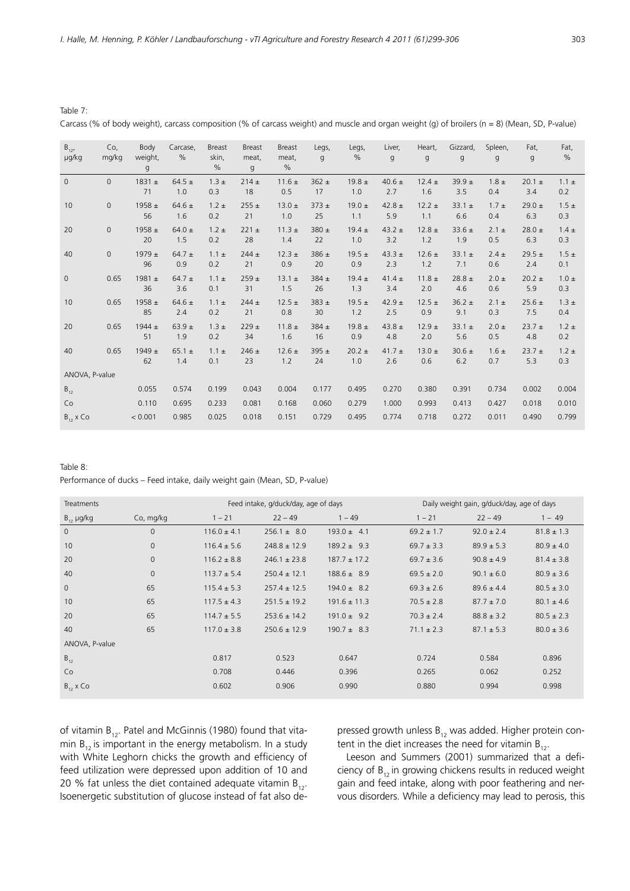Table 7:

 $T<sub>2</sub>$  bits  $\Omega$ .

 $B_{12}$ μg/kg Co, mg/kg Body weight, g Carcase,  $\frac{0}{0}$ Breast skin, % Breast meat, g Breast meat, % Legs, g Legs, % Liver, g Heart, g Gizzard, g Spleen, g Fat, g Fat, % 0 0  $1831 \pm$  71 64.5  $\pm$  1.0  $1.3 \pm$ 0.3  $214 +$  18  $11.6 \pm$  0.5  $362 +$  17  $19.8 +$  1.0  $40.6 \pm$  2.7  $12.4 +$  1.6 39.9 ± 3.5  $1.8 +$ 0.4  $20.1 +$  3.4  $1.1 +$ 0.2 10 0 1958 ± 56  $64.6 +$  1.6  $1.2 +$ 0.2  $255 +$  21  $13.0 +$  1.0  $373 +$  25 19.0  $\pm$  1.1 42.8  $\pm$  5.9  $12.2 +$  1.1  $33.1 +$  6.6  $1.7 +$ 0.4  $29.0 +$  6.3  $1.5 +$ 0.3 20 0 1958 ± 20  $64.0 +$  1.5  $1.2 +$ 0.2  $221 +$  28  $11.3 +$  1.4 380 ± 22  $19.4 +$  1.0  $43.2 +$  3.2  $12.8 +$  1.2  $33.6 +$  1.9  $2.1 +$ 0.5  $28.0 +$  6.3  $14 +$ 0.3 40 0 1979 ± 96 64.7  $\pm$  0.9  $1.1 \pm$ 0.2  $244 +$  21  $12.3 \pm$  0.9 386 ± 20  $19.5 +$  0.9 43.3  $\pm$  2.3  $12.6 \pm$  1.2  $33.1 \pm$  7.1  $2.4 +$ 0.6  $29.5 +$  2.4  $1.5 +$ 0.1 0  $0.65$  1981 ± 36  $64.7 +$  3.6  $1.1 +$ 0.1  $259 +$  31  $13.1 +$  1.5 384 ± 26  $19.4 +$  1.3 41.4  $\pm$  3.4  $11.8 +$  2.0  $28.8 +$  4.6  $2.0 +$ 0.6  $20.2 +$  5.9  $1.0 +$ 0.3 10  $0.65$  1958 ± 85 64.6  $\pm$  2.4 1.1  $\pm$  $0.2$  $244 \pm$  21 12.5  $\pm$  0.8 383 ± 30 19.5  $\pm$  1.2 42.9  $\pm$  2.5 12.5  $\pm$  0.9 36.2  $\pm$  9.1  $2.1 \pm$ 0.3 25.6  $\pm$  7.5  $1.3 \pm$ 0.4 20  $0.65$  1944 ± 51 63.9  $\pm$  1.9  $1.3 \pm$  $0.2$  $229 +$  34 11.8  $\pm$  1.6 384 ± 16 19.8  $\pm$  0.9 43.8  $\pm$  4.8  $12.9 \pm$  $2.0$ 33.1  $\pm$  5.6  $2.0 \pm$ 0.5  $23.7 +$  4.8  $1.2 \pm$  $0.2$ 40 0.65 1949 ± 62 65.1  $\pm$  1.4 1.1  $\pm$ 0.1  $246 \pm$  $23$ 12.6  $\pm$  1.2 395  $\pm$  $24$  $20.2 \pm$  1.0 41.7  $\pm$  $26$ 13.0  $\pm$  $0.6$ 30.6  $\pm$  6.2  $1.6 \pm$ 0.7  $23.7 \pm$  5.3  $1.2 \pm$ 0.3 ANOVA, P-value  $\mathsf{B}_{12}$  0.055 0.574 0.199 0.043 0.004 0.177 0.495 0.270 0.380 0.391 0.734 0.002 0.004 Co 0.110 0.695 0.233 0.081 0.168 0.060 0.279 1.000 0.993 0.413 0.427 0.018 0.010  ${\sf B}_{12}$  x Co  $\hspace{1cm}$   $<$  0.001 0.985 0.025 0.018 0.151 0.729 0.495 0.774 0.718 0.272 0.011 0.490 0.799

Carcass (% of body weight), carcass composition (% of carcass weight) and muscle and organ weight (q) of broilers (n = 8) (Mean, SD, P-value)

| Table o. |                                                                           |
|----------|---------------------------------------------------------------------------|
|          | Performance of ducks – Feed intake, daily weight gain (Mean, SD, P-value) |

| Feed intake, g/duck/day, age of days<br><b>Treatments</b> |              |                 | Daily weight gain, g/duck/day, age of days |                  |                |                |                |
|-----------------------------------------------------------|--------------|-----------------|--------------------------------------------|------------------|----------------|----------------|----------------|
| $B_{12}$ µg/kg                                            | Co, mg/kg    | $1 - 21$        | $22 - 49$                                  | $1 - 49$         | $1 - 21$       | $22 - 49$      | $1 - 49$       |
| $\mathbf{0}$                                              | $\mathbf 0$  | $116.0 \pm 4.1$ | $256.1 \pm 8.0$                            | $193.0 \pm 4.1$  | $69.2 \pm 1.7$ | $92.0 \pm 2.4$ | $81.8 \pm 1.3$ |
| 10                                                        | $\mathbf 0$  | $116.4 \pm 5.6$ | $248.8 \pm 12.9$                           | $189.2 \pm 9.3$  | $69.7 \pm 3.3$ | $89.9 \pm 5.3$ | $80.9 \pm 4.0$ |
| 20                                                        | $\mathbf{0}$ | $116.2 \pm 8.8$ | $246.1 \pm 23.8$                           | $187.7 \pm 17.2$ | $69.7 \pm 3.6$ | $90.8 \pm 4.9$ | $81.4 \pm 3.8$ |
| 40                                                        | $\Omega$     | $113.7 \pm 5.4$ | $250.4 \pm 12.1$                           | $188.6 \pm 8.9$  | $69.5 \pm 2.0$ | $90.1 \pm 6.0$ | $80.9 \pm 3.6$ |
| $\mathbf{0}$                                              | 65           | $115.4 \pm 5.3$ | $257.4 \pm 12.5$                           | $194.0 \pm 8.2$  | $69.3 \pm 2.6$ | $89.6 \pm 4.4$ | $80.5 \pm 3.0$ |
| 10                                                        | 65           | $117.5 \pm 4.3$ | $251.5 \pm 19.2$                           | $191.6 \pm 11.3$ | $70.5 \pm 2.8$ | $87.7 \pm 7.0$ | $80.1 \pm 4.6$ |
| 20                                                        | 65           | $114.7 \pm 5.5$ | $253.6 \pm 14.2$                           | $191.0 \pm 9.2$  | $70.3 \pm 2.4$ | $88.8 \pm 3.2$ | $80.5 \pm 2.3$ |
| 40                                                        | 65           | $117.0 \pm 3.8$ | $250.6 \pm 12.9$                           | $190.7 \pm 8.3$  | $71.1 \pm 2.3$ | $87.1 \pm 5.3$ | $80.0 \pm 3.6$ |
| ANOVA, P-value                                            |              |                 |                                            |                  |                |                |                |
| $B_{12}$                                                  |              | 0.817           | 0.523                                      | 0.647            | 0.724          | 0.584          | 0.896          |
| Co                                                        |              | 0.708           | 0.446                                      | 0.396            | 0.265          | 0.062          | 0.252          |
| $B_{12}$ x Co                                             |              | 0.602           | 0.906                                      | 0.990            | 0.880          | 0.994          | 0.998          |

of vitamin  $B_{12}$ . Patel and McGinnis (1980) found that vitamin  $B_{12}$  is important in the energy metabolism. In a study with White Leghorn chicks the growth and efficiency of feed utilization were depressed upon addition of 10 and 20 % fat unless the diet contained adequate vitamin  $B_{12}$ . Isoenergetic substitution of glucose instead of fat also depressed growth unless  $B_{12}$  was added. Higher protein content in the diet increases the need for vitamin  $B_{12}$ .

Leeson and Summers (2001) summarized that a deficiency of  $B_{12}$  in growing chickens results in reduced weight gain and feed intake, along with poor feathering and nervous disorders. While a deficiency may lead to perosis, this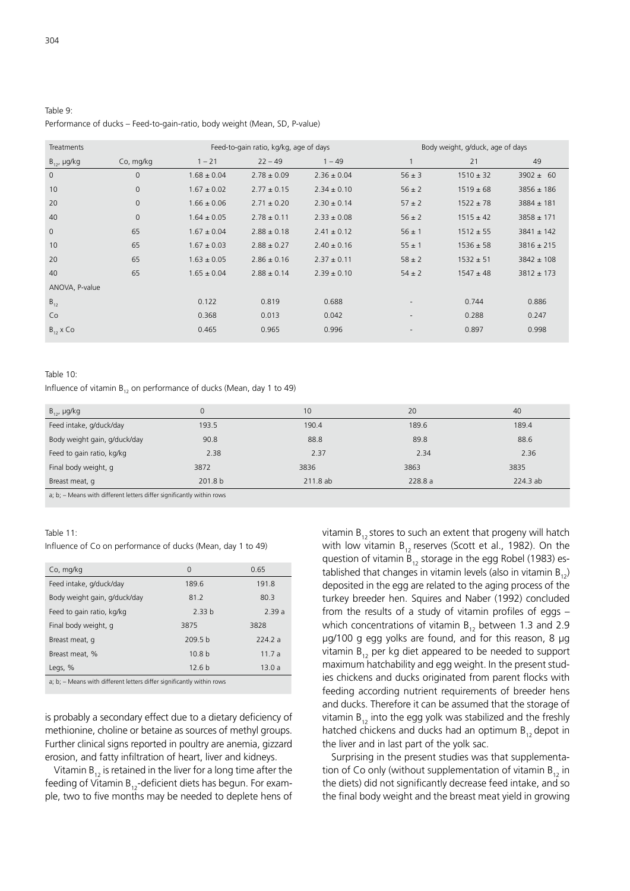# Table 9: Performance of ducks - Feed-to-gain-ratio, body weight (Mean, SD, P-value)

| Feed-to-gain ratio, kg/kg, age of days<br>Treatments |                |                 |                 | Body weight, g/duck, age of days |                          |               |                |
|------------------------------------------------------|----------------|-----------------|-----------------|----------------------------------|--------------------------|---------------|----------------|
| $B_{12}$ , µg/kg                                     | Co, mg/kg      | $1 - 21$        | $22 - 49$       | $1 - 49$                         | $\mathbf{1}$             | 21            | 49             |
| $\mathbf 0$                                          | $\overline{0}$ | $1.68 \pm 0.04$ | $2.78 \pm 0.09$ | $2.36 \pm 0.04$                  | $56 \pm 3$               | $1510 \pm 32$ | $3902 \pm 60$  |
| 10                                                   | $\mathbf 0$    | $1.67 \pm 0.02$ | $2.77 \pm 0.15$ | $2.34 \pm 0.10$                  | $56 \pm 2$               | $1519 \pm 68$ | $3856 \pm 186$ |
| 20                                                   | $\mathbf{0}$   | $1.66 \pm 0.06$ | $2.71 \pm 0.20$ | $2.30 \pm 0.14$                  | $57 \pm 2$               | $1522 \pm 78$ | $3884 \pm 181$ |
| 40                                                   | $\mathbf{0}$   | $1.64 \pm 0.05$ | $2.78 \pm 0.11$ | $2.33 \pm 0.08$                  | $56 \pm 2$               | $1515 \pm 42$ | $3858 \pm 171$ |
| $\mathbf{0}$                                         | 65             | $1.67 \pm 0.04$ | $2.88 \pm 0.18$ | $2.41 \pm 0.12$                  | $56 \pm 1$               | $1512 \pm 55$ | $3841 \pm 142$ |
| 10                                                   | 65             | $1.67 \pm 0.03$ | $2.88 \pm 0.27$ | $2.40 \pm 0.16$                  | $55 \pm 1$               | $1536 \pm 58$ | $3816 \pm 215$ |
| 20                                                   | 65             | $1.63 \pm 0.05$ | $2.86 \pm 0.16$ | $2.37 \pm 0.11$                  | $58 \pm 2$               | $1532 \pm 51$ | $3842 \pm 108$ |
| 40                                                   | 65             | $1.65 \pm 0.04$ | $2.88 \pm 0.14$ | $2.39 \pm 0.10$                  | $54 \pm 2$               | $1547 \pm 48$ | $3812 \pm 173$ |
| ANOVA, P-value                                       |                |                 |                 |                                  |                          |               |                |
| $B_{12}$                                             |                | 0.122           | 0.819           | 0.688                            | $\overline{\phantom{a}}$ | 0.744         | 0.886          |
| Co                                                   |                | 0.368           | 0.013           | 0.042                            | $\overline{\phantom{a}}$ | 0.288         | 0.247          |
| $B_{12}$ x Co                                        |                | 0.465           | 0.965           | 0.996                            | $\overline{\phantom{a}}$ | 0.897         | 0.998          |

### Table 10:

Influence of vitamin  $B_{12}$  on performance of ducks (Mean, day 1 to 49)

| $B_{12}$ , µg/kg                                                                                                                                                                                                                              | 0       | 10       | 20     | 40       |
|-----------------------------------------------------------------------------------------------------------------------------------------------------------------------------------------------------------------------------------------------|---------|----------|--------|----------|
| Feed intake, g/duck/day                                                                                                                                                                                                                       | 193.5   | 190.4    | 189.6  | 189.4    |
| Body weight gain, g/duck/day                                                                                                                                                                                                                  | 90.8    | 88.8     | 89.8   | 88.6     |
| Feed to gain ratio, kg/kg                                                                                                                                                                                                                     | 2.38    | 2.37     | 2.34   | 2.36     |
| Final body weight, g                                                                                                                                                                                                                          | 3872    | 3836     | 3863   | 3835     |
| Breast meat, q                                                                                                                                                                                                                                | 201.8 b | 211.8 ab | 228.8a | 224.3 ab |
| $\mathbf{r} = \mathbf{r} + \mathbf{r}$ and the set of the set of the set of the set of the set of the set of the set of the set of the set of the set of the set of the set of the set of the set of the set of the set of the set of the set |         |          |        |          |

a; b; – Means with different letters differ significantly within rows

#### Table  $11$ :

Influence of Co on performance of ducks (Mean, day 1 to 49)

| Co, mg/kg                    | $\Omega$           | 0.65   |
|------------------------------|--------------------|--------|
| Feed intake, g/duck/day      | 189.6              | 191.8  |
| Body weight gain, g/duck/day | 81.2               | 80.3   |
| Feed to gain ratio, kg/kg    | 2.33 <sub>b</sub>  | 2.39a  |
| Final body weight, g         | 3875               | 3828   |
| Breast meat, q               | 209.5 <sub>b</sub> | 224.2a |
| Breast meat, %               | 10.8 <sub>b</sub>  | 11.7a  |
| Legs, %                      | 12.6 <sub>b</sub>  | 13.0a  |
|                              |                    |        |

a; b; – Means with different letters differ significantly within rows

is probably a secondary effect due to a dietary deficiency of methionine, choline or betaine as sources of methyl groups. Further clinical signs reported in poultry are anemia, gizzard erosion, and fatty infiltration of heart, liver and kidneys.

Vitamin  $B_{12}$  is retained in the liver for a long time after the feeding of Vitamin  $B_{12}$ -deficient diets has begun. For example, two to five months may be needed to deplete hens of vitamin  $B_{12}$  stores to such an extent that progeny will hatch with low vitamin  $B_{12}$  reserves (Scott et al., 1982). On the question of vitamin  $B_{12}$  storage in the egg Robel (1983) established that changes in vitamin levels (also in vitamin  $B_{12}$ ) deposited in the egg are related to the aging process of the turkey breeder hen. Squires and Naber (1992) concluded from the results of a study of vitamin profiles of eggs  $$ which concentrations of vitamin  $B_{12}$  between 1.3 and 2.9 μg/100 g egg yolks are found, and for this reason, 8 μg vitamin  $B_{12}$  per kg diet appeared to be needed to support maximum hatchability and egg weight. In the present studies chickens and ducks originated from parent flocks with feeding according nutrient requirements of breeder hens and ducks. Therefore it can be assumed that the storage of vitamin  $B_{12}$  into the egg yolk was stabilized and the freshly hatched chickens and ducks had an optimum  $B_{12}$  depot in the liver and in last part of the yolk sac.

Surprising in the present studies was that supplementation of Co only (without supplementation of vitamin  $B_{12}$  in the diets) did not significantly decrease feed intake, and so the final body weight and the breast meat yield in growing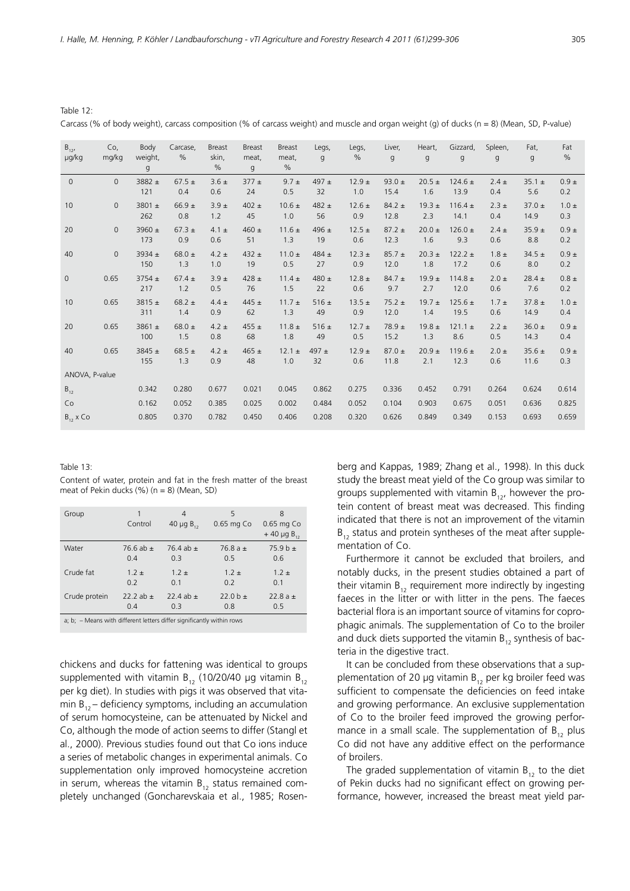Table 12:

Carcass (% of body weight), carcass composition (% of carcass weight) and muscle and organ weight (g) of ducks (n = 8) (Mean, SD, P-value)

| $B_{12'}$<br>µg/kg | Co,<br>mg/kg | Body<br>weight,<br>g | Carcase,<br>$\frac{0}{0}$ | <b>Breast</b><br>skin,<br>% | <b>Breast</b><br>meat.<br>g | <b>Breast</b><br>meat,<br>$\%$ | Legs,<br>q      | Legs,<br>$\frac{0}{0}$ | Liver,<br>q        | Heart,<br>$\mathsf{g}$ | Gizzard,<br>$\mathsf{g}$ | Spleen,<br>g     | Fat,<br>$\mathsf{g}$ | Fat<br>$\frac{0}{0}$ |
|--------------------|--------------|----------------------|---------------------------|-----------------------------|-----------------------------|--------------------------------|-----------------|------------------------|--------------------|------------------------|--------------------------|------------------|----------------------|----------------------|
| $\mathbf{0}$       | $\Omega$     | 3882 $\pm$<br>121    | $67.5 +$<br>0.4           | $3.6 \pm$<br>0.6            | $377 +$<br>24               | $9.7 \pm$<br>0.5               | 497 $\pm$<br>32 | $12.9 \pm$<br>1.0      | 93.0 $\pm$<br>15.4 | $20.5 \pm$<br>1.6      | $124.6 \pm$<br>13.9      | $2.4 \pm$<br>0.4 | $35.1 \pm$<br>5.6    | $0.9 \pm$<br>0.2     |
| 10                 | $\Omega$     | 3801 ±<br>262        | $66.9 +$<br>0.8           | $3.9 +$<br>1.2              | $402 \pm$<br>45             | $10.6 \pm$<br>1.0              | 482 $\pm$<br>56 | $12.6 \pm$<br>0.9      | $84.2 \pm$<br>12.8 | $19.3 \pm$<br>2.3      | $116.4 \pm$<br>14.1      | $2.3 \pm$<br>0.4 | $37.0 \pm$<br>14.9   | $1.0 \pm$<br>0.3     |
| 20                 | $\Omega$     | 3960 $\pm$<br>173    | $67.3 \pm$<br>0.9         | $4.1 \pm$<br>0.6            | 460 $\pm$<br>51             | $11.6 \pm$<br>1.3              | 496 $\pm$<br>19 | $12.5 \pm$<br>0.6      | $87.2 \pm$<br>12.3 | $20.0 \pm$<br>1.6      | $126.0 \pm$<br>9.3       | $2.4 \pm$<br>0.6 | $35.9 +$<br>8.8      | $0.9 \pm$<br>0.2     |
| 40                 | $\mathbf{0}$ | 3934 $\pm$<br>150    | 68.0 $\pm$<br>1.3         | $4.2 \pm$<br>1.0            | 432 $\pm$<br>19             | $11.0 \pm$<br>0.5              | 484 $\pm$<br>27 | $12.3 \pm$<br>0.9      | $85.7 \pm$<br>12.0 | $20.3 \pm$<br>1.8      | $122.2 \pm$<br>17.2      | $1.8 \pm$<br>0.6 | $34.5 \pm$<br>8.0    | $0.9 \pm$<br>0.2     |
| $\mathbf{0}$       | 0.65         | $3754 \pm$<br>217    | $67.4 \pm$<br>1.2         | $3.9 \pm$<br>0.5            | 428 $\pm$<br>76             | $11.4 \pm$<br>1.5              | 480 $\pm$<br>22 | $12.8 \pm$<br>0.6      | $84.7 \pm$<br>9.7  | $19.9 \pm$<br>2.7      | $114.8 \pm$<br>12.0      | $2.0 \pm$<br>0.6 | $28.4 \pm$<br>7.6    | $0.8 \pm$<br>0.2     |
| 10                 | 0.65         | $3815 \pm$<br>311    | 68.2 $\pm$<br>1.4         | $4.4 \pm$<br>0.9            | 445 $\pm$<br>62             | $11.7 +$<br>1.3                | $516 \pm$<br>49 | $13.5 \pm$<br>0.9      | $75.2 \pm$<br>12.0 | $19.7 \pm$<br>1.4      | $125.6 \pm$<br>19.5      | $1.7 \pm$<br>0.6 | $37.8 \pm$<br>14.9   | $1.0 \pm$<br>0.4     |
| 20                 | 0.65         | 3861 $\pm$<br>100    | 68.0 $\pm$<br>1.5         | $4.2 \pm$<br>0.8            | 455 $\pm$<br>68             | $11.8 \pm$<br>1.8              | $516 \pm$<br>49 | $12.7 \pm$<br>0.5      | $78.9 \pm$<br>15.2 | $19.8 \pm$<br>1.3      | $121.1 \pm$<br>8.6       | $2.2 \pm$<br>0.5 | $36.0 \pm$<br>14.3   | $0.9 \pm$<br>0.4     |
| 40                 | 0.65         | 3845 $\pm$<br>155    | 68.5 $\pm$<br>1.3         | $4.2 \pm$<br>0.9            | 465 $\pm$<br>48             | $12.1 \pm$<br>1.0              | 497 $\pm$<br>32 | $12.9 +$<br>0.6        | $87.0 \pm$<br>11.8 | $20.9 \pm$<br>2.1      | $119.6 \pm$<br>12.3      | $2.0 \pm$<br>0.6 | $35.6 \pm$<br>11.6   | $0.9 \pm$<br>0.3     |
| ANOVA, P-value     |              |                      |                           |                             |                             |                                |                 |                        |                    |                        |                          |                  |                      |                      |
| $B_{12}$           |              | 0.342                | 0.280                     | 0.677                       | 0.021                       | 0.045                          | 0.862           | 0.275                  | 0.336              | 0.452                  | 0.791                    | 0.264            | 0.624                | 0.614                |
| Co                 |              | 0.162                | 0.052                     | 0.385                       | 0.025                       | 0.002                          | 0.484           | 0.052                  | 0.104              | 0.903                  | 0.675                    | 0.051            | 0.636                | 0.825                |
| $B_{12}$ x Co      |              | 0.805                | 0.370                     | 0.782                       | 0.450                       | 0.406                          | 0.208           | 0.320                  | 0.626              | 0.849                  | 0.349                    | 0.153            | 0.693                | 0.659                |

Table 13:

Content of water, protein and fat in the fresh matter of the breast meat of Pekin ducks  $(\%)(n = 8)$  (Mean, SD)

| Group                                                                      | 1<br>Control  | 4<br>40 $\mu$ g B <sub>12</sub> | 5<br>0.65 mg Co | 8<br>0.65 mg Co<br>$+40 \mu g B_{12}$ |  |  |
|----------------------------------------------------------------------------|---------------|---------------------------------|-----------------|---------------------------------------|--|--|
| Water                                                                      | 76.6 ab $\pm$ | 76.4 ab $\pm$                   | 76.8 $a +$      | $75.9 h +$                            |  |  |
|                                                                            | 0.4           | 0.3                             | 0.5             | 0.6                                   |  |  |
| Crude fat                                                                  | $1.2 +$       | $1.2 +$                         | $1.2 +$         | $1.2 +$                               |  |  |
|                                                                            | 0.2           | 0.1                             | 0.2             | 0.1                                   |  |  |
| Crude protein                                                              | 22.2 ab $\pm$ | 22.4 ab $\pm$                   | $22.0 b +$      | 22.8 a $\pm$                          |  |  |
|                                                                            | 0.4           | 0.3                             | 0.8             | 0.5                                   |  |  |
| $a$ ; b; $-$ Means with different letters differ significantly within rows |               |                                 |                 |                                       |  |  |

chickens and ducks for fattening was identical to groups supplemented with vitamin  $B_{12}$  (10/20/40 µg vitamin  $B_{12}$ ) per kg diet). In studies with pigs it was observed that vitamin  $B_{12}$  – deficiency symptoms, including an accumulation of serum homocysteine, can be attenuated by Nickel and Co, although the mode of action seems to differ (Stangl et al., 2000). Previous studies found out that Co ions induce a series of metabolic changes in experimental animals. Co supplementation only improved homocysteine accretion in serum, whereas the vitamin  $B_{12}$  status remained completely unchanged (Goncharevskaia et al., 1985; Rosenberg and Kappas, 1989; Zhang et al., 1998). In this duck study the breast meat yield of the Co group was similar to groups supplemented with vitamin  $B_{12}$ , however the protein content of breast meat was decreased. This finding indicated that there is not an improvement of the vitamin  $B_{12}$  status and protein syntheses of the meat after supplementation of Co.

Furthermore it cannot be excluded that broilers, and notably ducks, in the present studies obtained a part of their vitamin  $B_{12}$  requirement more indirectly by ingesting faeces in the litter or with litter in the pens. The faeces bacterial flora is an important source of vitamins for coprophagic animals. The supplementation of Co to the broiler and duck diets supported the vitamin  $B_{12}$  synthesis of bacteria in the digestive tract.

It can be concluded from these observations that a supplementation of 20 µg vitamin  $B_{12}$  per kg broiler feed was sufficient to compensate the deficiencies on feed intake and growing performance. An exclusive supplementation of Co to the broiler feed improved the growing performance in a small scale. The supplementation of  $B_{12}$  plus Co did not have any additive effect on the performance of broilers.

The graded supplementation of vitamin  $B_{12}$  to the diet of Pekin ducks had no significant effect on growing performance, however, increased the breast meat yield par-